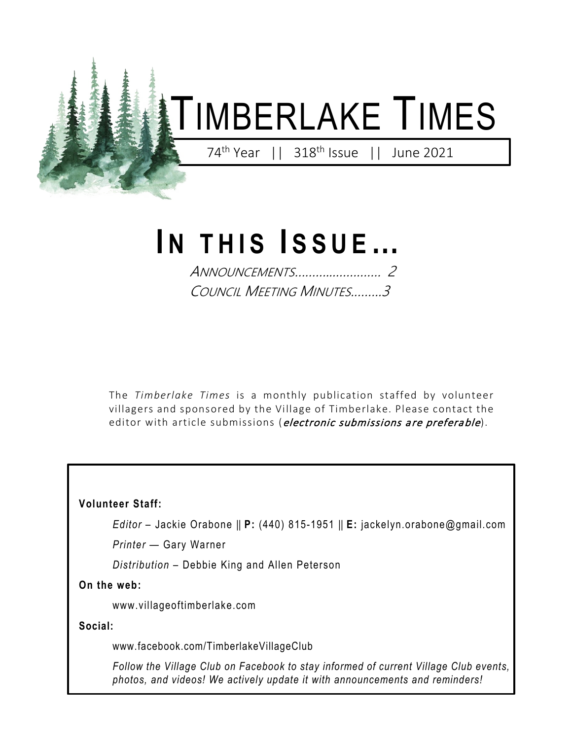

# **I N THIS I SSUE…**

ANNOUNCEMENTS………...…………. 2 COUNCIL MEETING MINUTES.……..3

The *Timberlake Times* is a monthly publication staffed by volunteer villagers and sponsored by the Village of Timberlake. Please contact the editor with article submissions (electronic submissions are preferable).

**Volunteer Staff:**

*Editor* – Jackie Orabone || **P:** (440) 815-1951 || **E:** jackelyn.orabone@gmail.com

*Printer* — Gary Warner

*Distribution* – Debbie King and Allen Peterson

**On the web:** 

www.villageoftimberlake.com

**Social:**

www.facebook.com/TimberlakeVillageClub

*Follow the Village Club on Facebook to stay informed of current Village Club events, photos, and videos! We actively update it with announcements and reminders!*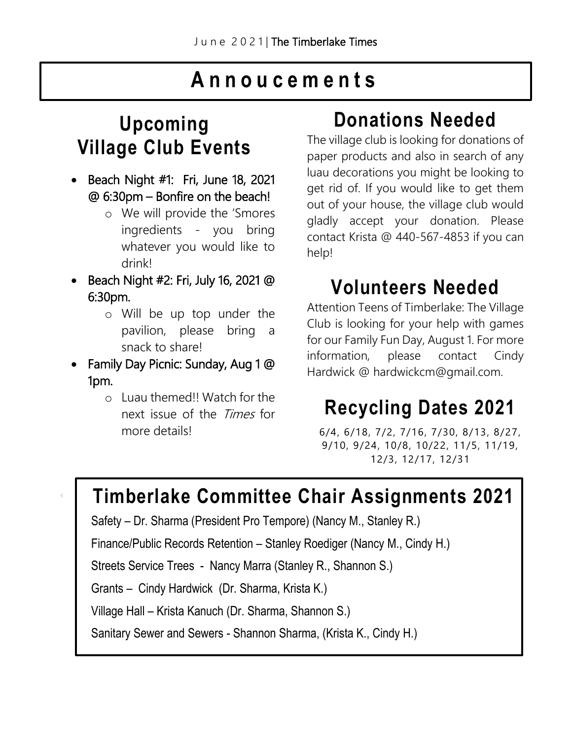### **Annoucements**

### **Upcoming Village Club Events**

- Beach Night #1: Fri, June 18, 2021 @ 6:30pm – Bonfire on the beach!
	- o We will provide the 'Smores ingredients - you bring whatever you would like to drink!
- Beach Night #2: Fri, July 16, 2021 @ 6:30pm.
	- o Will be up top under the pavilion, please bring a snack to share!
- Family Day Picnic: Sunday, Aug 1 @ 1pm.
	- o Luau themed!! Watch for the next issue of the Times for more details!

### **Donations Needed**

The village club is looking for donations of paper products and also in search of any luau decorations you might be looking to get rid of. If you would like to get them out of your house, the village club would gladly accept your donation. Please contact Krista @ 440-567-4853 if you can help!

### **Volunteers Needed**

Attention Teens of Timberlake: The Village Club is looking for your help with games for our Family Fun Day, August 1. For more information, please contact Cindy Hardwick @ hardwickcm@gmail.com.

## **Recycling Dates 2021**

6/4, 6/18, 7/2, 7/16, 7/30, 8/13, 8/27, 9/10, 9/24, 10/8, 10/22, 11/5, 11/19, 12/3, 12/17, 12/31

### **Timberlake Committee Chair Assignments 2021**

Safety – Dr. Sharma (President Pro Tempore) (Nancy M., Stanley R.)

Finance/Public Records Retention – Stanley Roediger (Nancy M., Cindy H.)

Streets Service Trees - Nancy Marra (Stanley R., Shannon S.)

Grants – Cindy Hardwick (Dr. Sharma, Krista K.)

Village Hall – Krista Kanuch (Dr. Sharma, Shannon S.)

Sanitary Sewer and Sewers - Shannon Sharma, (Krista K., Cindy H.)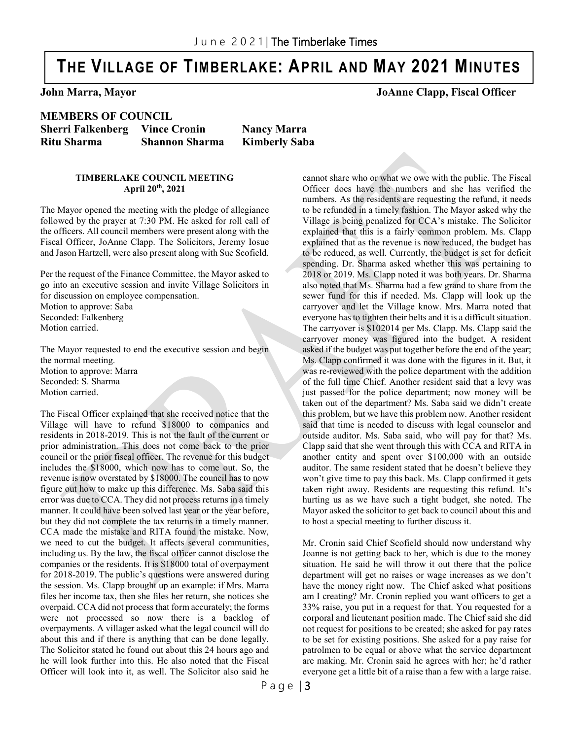### **THE VILLAGE OF TIMBERLAKE: APRIL AND MAY 2021 MINUTES**

**John Marra, Mayor JoAnne Clapp, Fiscal Officer**

**MEMBERS OF COUNCIL Sherri Falkenberg Vince Cronin Nancy Marra Ritu Sharma Shannon Sharma Kimberly Saba** 

**TIMBERLAKE COUNCIL MEETING April 20th, 2021**

The Mayor opened the meeting with the pledge of allegiance followed by the prayer at 7:30 PM. He asked for roll call of the officers. All council members were present along with the Fiscal Officer, JoAnne Clapp. The Solicitors, Jeremy Iosue and Jason Hartzell, were also present along with Sue Scofield.

Per the request of the Finance Committee, the Mayor asked to go into an executive session and invite Village Solicitors in for discussion on employee compensation. Motion to approve: Saba Seconded: Falkenberg Motion carried.

The Mayor requested to end the executive session and begin the normal meeting. Motion to approve: Marra Seconded: S. Sharma Motion carried.

The Fiscal Officer explained that she received notice that the Village will have to refund \$18000 to companies and residents in 2018-2019. This is not the fault of the current or prior administration. This does not come back to the prior council or the prior fiscal officer. The revenue for this budget includes the \$18000, which now has to come out. So, the revenue is now overstated by \$18000. The council has to now figure out how to make up this difference. Ms. Saba said this error was due to CCA. They did not process returns in a timely manner. It could have been solved last year or the year before, but they did not complete the tax returns in a timely manner. CCA made the mistake and RITA found the mistake. Now, we need to cut the budget. It affects several communities, including us. By the law, the fiscal officer cannot disclose the companies or the residents. It is \$18000 total of overpayment for 2018-2019. The public's questions were answered during the session. Ms. Clapp brought up an example: if Mrs. Marra files her income tax, then she files her return, she notices she overpaid. CCA did not process that form accurately; the forms were not processed so now there is a backlog of overpayments. A villager asked what the legal council will do about this and if there is anything that can be done legally. The Solicitor stated he found out about this 24 hours ago and he will look further into this. He also noted that the Fiscal Officer will look into it, as well. The Solicitor also said he cannot share who or what we owe with the public. The Fiscal Officer does have the numbers and she has verified the numbers. As the residents are requesting the refund, it needs to be refunded in a timely fashion. The Mayor asked why the Village is being penalized for CCA's mistake. The Solicitor explained that this is a fairly common problem. Ms. Clapp explained that as the revenue is now reduced, the budget has to be reduced, as well. Currently, the budget is set for deficit spending. Dr. Sharma asked whether this was pertaining to 2018 or 2019. Ms. Clapp noted it was both years. Dr. Sharma also noted that Ms. Sharma had a few grand to share from the sewer fund for this if needed. Ms. Clapp will look up the carryover and let the Village know. Mrs. Marra noted that everyone has to tighten their belts and it is a difficult situation. The carryover is \$102014 per Ms. Clapp. Ms. Clapp said the carryover money was figured into the budget. A resident asked if the budget was put together before the end of the year; Ms. Clapp confirmed it was done with the figures in it. But, it was re-reviewed with the police department with the addition of the full time Chief. Another resident said that a levy was just passed for the police department; now money will be taken out of the department? Ms. Saba said we didn't create this problem, but we have this problem now. Another resident said that time is needed to discuss with legal counselor and outside auditor. Ms. Saba said, who will pay for that? Ms. Clapp said that she went through this with CCA and RITA in another entity and spent over \$100,000 with an outside auditor. The same resident stated that he doesn't believe they won't give time to pay this back. Ms. Clapp confirmed it gets taken right away. Residents are requesting this refund. It's hurting us as we have such a tight budget, she noted. The Mayor asked the solicitor to get back to council about this and to host a special meeting to further discuss it.

Mr. Cronin said Chief Scofield should now understand why Joanne is not getting back to her, which is due to the money situation. He said he will throw it out there that the police department will get no raises or wage increases as we don't have the money right now. The Chief asked what positions am I creating? Mr. Cronin replied you want officers to get a 33% raise, you put in a request for that. You requested for a corporal and lieutenant position made. The Chief said she did not request for positions to be created; she asked for pay rates to be set for existing positions. She asked for a pay raise for patrolmen to be equal or above what the service department are making. Mr. Cronin said he agrees with her; he'd rather everyone get a little bit of a raise than a few with a large raise.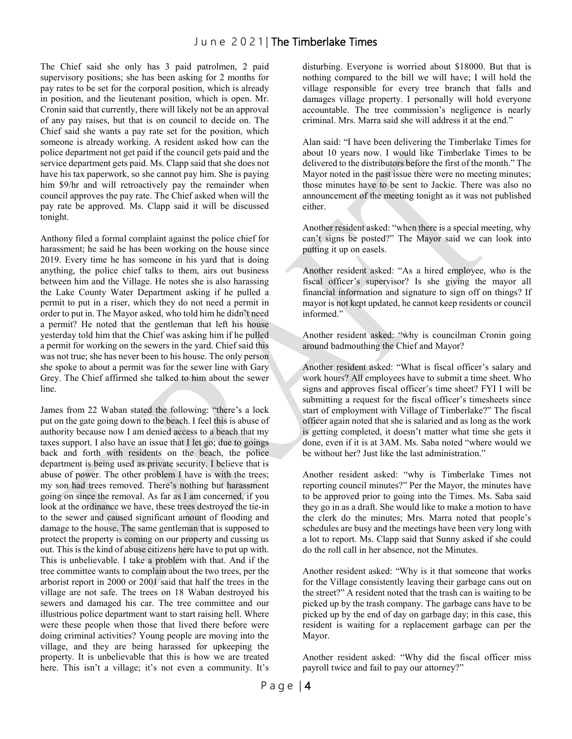The Chief said she only has 3 paid patrolmen, 2 paid supervisory positions; she has been asking for 2 months for pay rates to be set for the corporal position, which is already in position, and the lieutenant position, which is open. Mr. Cronin said that currently, there will likely not be an approval of any pay raises, but that is on council to decide on. The Chief said she wants a pay rate set for the position, which someone is already working. A resident asked how can the police department not get paid if the council gets paid and the service department gets paid. Ms. Clapp said that she does not have his tax paperwork, so she cannot pay him. She is paying him \$9/hr and will retroactively pay the remainder when council approves the pay rate. The Chief asked when will the pay rate be approved. Ms. Clapp said it will be discussed tonight.

Anthony filed a formal complaint against the police chief for harassment; he said he has been working on the house since 2019. Every time he has someone in his yard that is doing anything, the police chief talks to them, airs out business between him and the Village. He notes she is also harassing the Lake County Water Department asking if he pulled a permit to put in a riser, which they do not need a permit in order to put in. The Mayor asked, who told him he didn't need a permit? He noted that the gentleman that left his house yesterday told him that the Chief was asking him if he pulled a permit for working on the sewers in the yard. Chief said this was not true; she has never been to his house. The only person she spoke to about a permit was for the sewer line with Gary Grey. The Chief affirmed she talked to him about the sewer line.

James from 22 Waban stated the following: "there's a lock put on the gate going down to the beach. I feel this is abuse of authority because now I am denied access to a beach that my taxes support. I also have an issue that I let go; due to goings back and forth with residents on the beach, the police department is being used as private security. I believe that is abuse of power. The other problem I have is with the trees; my son had trees removed. There's nothing but harassment going on since the removal. As far as I am concerned, if you look at the ordinance we have, these trees destroyed the tie-in to the sewer and caused significant amount of flooding and damage to the house. The same gentleman that is supposed to protect the property is coming on our property and cussing us out. This is the kind of abuse citizens here have to put up with. This is unbelievable. I take a problem with that. And if the tree committee wants to complain about the two trees, per the arborist report in 2000 or 2001 said that half the trees in the village are not safe. The trees on 18 Waban destroyed his sewers and damaged his car. The tree committee and our illustrious police department want to start raising hell. Where were these people when those that lived there before were doing criminal activities? Young people are moving into the village, and they are being harassed for upkeeping the property. It is unbelievable that this is how we are treated here. This isn't a village; it's not even a community. It's

disturbing. Everyone is worried about \$18000. But that is nothing compared to the bill we will have; I will hold the village responsible for every tree branch that falls and damages village property. I personally will hold everyone accountable. The tree commission's negligence is nearly criminal. Mrs. Marra said she will address it at the end."

Alan said: "I have been delivering the Timberlake Times for about 10 years now. I would like Timberlake Times to be delivered to the distributors before the first of the month." The Mayor noted in the past issue there were no meeting minutes; those minutes have to be sent to Jackie. There was also no announcement of the meeting tonight as it was not published either.

Another resident asked: "when there is a special meeting, why can't signs be posted?" The Mayor said we can look into putting it up on easels.

Another resident asked: "As a hired employee, who is the fiscal officer's supervisor? Is she giving the mayor all financial information and signature to sign off on things? If mayor is not kept updated, he cannot keep residents or council informed."

Another resident asked: "why is councilman Cronin going around badmouthing the Chief and Mayor?

Another resident asked: "What is fiscal officer's salary and work hours? All employees have to submit a time sheet. Who signs and approves fiscal officer's time sheet? FYI I will be submitting a request for the fiscal officer's timesheets since start of employment with Village of Timberlake?" The fiscal officer again noted that she is salaried and as long as the work is getting completed, it doesn't matter what time she gets it done, even if it is at 3AM. Ms. Saba noted "where would we be without her? Just like the last administration."

Another resident asked: "why is Timberlake Times not reporting council minutes?" Per the Mayor, the minutes have to be approved prior to going into the Times. Ms. Saba said they go in as a draft. She would like to make a motion to have the clerk do the minutes; Mrs. Marra noted that people's schedules are busy and the meetings have been very long with a lot to report. Ms. Clapp said that Sunny asked if she could do the roll call in her absence, not the Minutes.

Another resident asked: "Why is it that someone that works for the Village consistently leaving their garbage cans out on the street?" A resident noted that the trash can is waiting to be picked up by the trash company. The garbage cans have to be picked up by the end of day on garbage day; in this case, this resident is waiting for a replacement garbage can per the Mayor.

Another resident asked: "Why did the fiscal officer miss payroll twice and fail to pay our attorney?"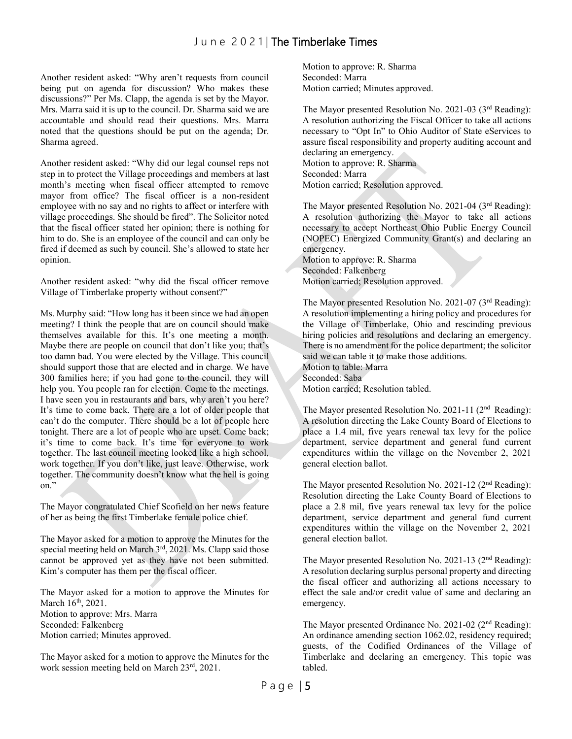Another resident asked: "Why aren't requests from council being put on agenda for discussion? Who makes these discussions?" Per Ms. Clapp, the agenda is set by the Mayor. Mrs. Marra said it is up to the council. Dr. Sharma said we are accountable and should read their questions. Mrs. Marra noted that the questions should be put on the agenda; Dr. Sharma agreed.

Another resident asked: "Why did our legal counsel reps not step in to protect the Village proceedings and members at last month's meeting when fiscal officer attempted to remove mayor from office? The fiscal officer is a non-resident employee with no say and no rights to affect or interfere with village proceedings. She should be fired". The Solicitor noted that the fiscal officer stated her opinion; there is nothing for him to do. She is an employee of the council and can only be fired if deemed as such by council. She's allowed to state her opinion.

Another resident asked: "why did the fiscal officer remove Village of Timberlake property without consent?"

Ms. Murphy said: "How long has it been since we had an open meeting? I think the people that are on council should make themselves available for this. It's one meeting a month. Maybe there are people on council that don't like you; that's too damn bad. You were elected by the Village. This council should support those that are elected and in charge. We have 300 families here; if you had gone to the council, they will help you. You people ran for election. Come to the meetings. I have seen you in restaurants and bars, why aren't you here? It's time to come back. There are a lot of older people that can't do the computer. There should be a lot of people here tonight. There are a lot of people who are upset. Come back; it's time to come back. It's time for everyone to work together. The last council meeting looked like a high school, work together. If you don't like, just leave. Otherwise, work together. The community doesn't know what the hell is going on."

The Mayor congratulated Chief Scofield on her news feature of her as being the first Timberlake female police chief.

The Mayor asked for a motion to approve the Minutes for the special meeting held on March 3<sup>rd</sup>, 2021. Ms. Clapp said those cannot be approved yet as they have not been submitted. Kim's computer has them per the fiscal officer.

The Mayor asked for a motion to approve the Minutes for March  $16^{th}$ , 2021. Motion to approve: Mrs. Marra Seconded: Falkenberg Motion carried; Minutes approved.

The Mayor asked for a motion to approve the Minutes for the work session meeting held on March 23rd, 2021.

Motion to approve: R. Sharma Seconded: Marra Motion carried; Minutes approved.

The Mayor presented Resolution No. 2021-03 (3rd Reading): A resolution authorizing the Fiscal Officer to take all actions necessary to "Opt In" to Ohio Auditor of State eServices to assure fiscal responsibility and property auditing account and declaring an emergency.

Motion to approve: R. Sharma Seconded: Marra Motion carried; Resolution approved.

The Mayor presented Resolution No. 2021-04 (3rd Reading): A resolution authorizing the Mayor to take all actions necessary to accept Northeast Ohio Public Energy Council (NOPEC) Energized Community Grant(s) and declaring an emergency.

Motion to approve: R. Sharma Seconded: Falkenberg Motion carried; Resolution approved.

The Mayor presented Resolution No. 2021-07 (3<sup>rd</sup> Reading): A resolution implementing a hiring policy and procedures for the Village of Timberlake, Ohio and rescinding previous hiring policies and resolutions and declaring an emergency. There is no amendment for the police department; the solicitor said we can table it to make those additions. Motion to table: Marra Seconded: Saba Motion carried; Resolution tabled.

The Mayor presented Resolution No. 2021-11 (2<sup>nd</sup> Reading): A resolution directing the Lake County Board of Elections to place a 1.4 mil, five years renewal tax levy for the police department, service department and general fund current expenditures within the village on the November 2, 2021 general election ballot.

The Mayor presented Resolution No. 2021-12 (2nd Reading): Resolution directing the Lake County Board of Elections to place a 2.8 mil, five years renewal tax levy for the police department, service department and general fund current expenditures within the village on the November 2, 2021 general election ballot.

The Mayor presented Resolution No. 2021-13 (2<sup>nd</sup> Reading): A resolution declaring surplus personal property and directing the fiscal officer and authorizing all actions necessary to effect the sale and/or credit value of same and declaring an emergency.

The Mayor presented Ordinance No. 2021-02 (2<sup>nd</sup> Reading): An ordinance amending section 1062.02, residency required; guests, of the Codified Ordinances of the Village of Timberlake and declaring an emergency. This topic was tabled.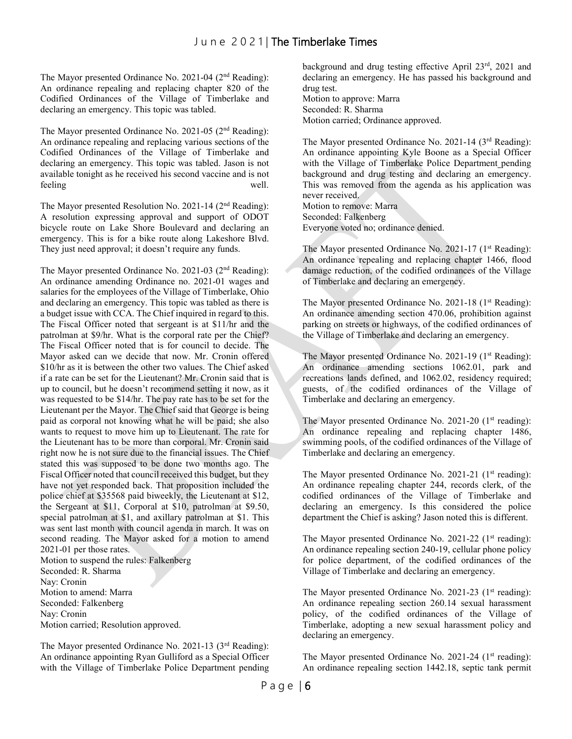The Mayor presented Ordinance No. 2021-04 (2<sup>nd</sup> Reading): An ordinance repealing and replacing chapter 820 of the Codified Ordinances of the Village of Timberlake and declaring an emergency. This topic was tabled.

The Mayor presented Ordinance No. 2021-05 (2<sup>nd</sup> Reading): An ordinance repealing and replacing various sections of the Codified Ordinances of the Village of Timberlake and declaring an emergency. This topic was tabled. Jason is not available tonight as he received his second vaccine and is not feeling well.

The Mayor presented Resolution No. 2021-14 (2nd Reading): A resolution expressing approval and support of ODOT bicycle route on Lake Shore Boulevard and declaring an emergency. This is for a bike route along Lakeshore Blvd. They just need approval; it doesn't require any funds.

The Mayor presented Ordinance No. 2021-03 (2nd Reading): An ordinance amending Ordinance no. 2021-01 wages and salaries for the employees of the Village of Timberlake, Ohio and declaring an emergency. This topic was tabled as there is a budget issue with CCA. The Chief inquired in regard to this. The Fiscal Officer noted that sergeant is at \$11/hr and the patrolman at \$9/hr. What is the corporal rate per the Chief? The Fiscal Officer noted that is for council to decide. The Mayor asked can we decide that now. Mr. Cronin offered \$10/hr as it is between the other two values. The Chief asked if a rate can be set for the Lieutenant? Mr. Cronin said that is up to council, but he doesn't recommend setting it now, as it was requested to be \$14/hr. The pay rate has to be set for the Lieutenant per the Mayor. The Chief said that George is being paid as corporal not knowing what he will be paid; she also wants to request to move him up to Lieutenant. The rate for the Lieutenant has to be more than corporal. Mr. Cronin said right now he is not sure due to the financial issues. The Chief stated this was supposed to be done two months ago. The Fiscal Officer noted that council received this budget, but they have not yet responded back. That proposition included the police chief at \$35568 paid biweekly, the Lieutenant at \$12, the Sergeant at \$11, Corporal at \$10, patrolman at \$9.50, special patrolman at \$1, and axillary patrolman at \$1. This was sent last month with council agenda in march. It was on second reading. The Mayor asked for a motion to amend 2021-01 per those rates.

Motion to suspend the rules: Falkenberg Seconded: R. Sharma Nay: Cronin Motion to amend: Marra Seconded: Falkenberg Nay: Cronin Motion carried; Resolution approved.

The Mayor presented Ordinance No. 2021-13 (3<sup>rd</sup> Reading): An ordinance appointing Ryan Gulliford as a Special Officer with the Village of Timberlake Police Department pending background and drug testing effective April 23rd, 2021 and declaring an emergency. He has passed his background and drug test.

Motion to approve: Marra Seconded: R. Sharma Motion carried; Ordinance approved.

The Mayor presented Ordinance No. 2021-14 (3<sup>rd</sup> Reading): An ordinance appointing Kyle Boone as a Special Officer with the Village of Timberlake Police Department pending background and drug testing and declaring an emergency. This was removed from the agenda as his application was never received. Motion to remove: Marra Seconded: Falkenberg

Everyone voted no; ordinance denied.

The Mayor presented Ordinance No. 2021-17  $(1<sup>st</sup> Reading):$ An ordinance repealing and replacing chapter 1466, flood damage reduction, of the codified ordinances of the Village of Timberlake and declaring an emergency.

The Mayor presented Ordinance No. 2021-18 (1<sup>st</sup> Reading): An ordinance amending section 470.06, prohibition against parking on streets or highways, of the codified ordinances of the Village of Timberlake and declaring an emergency.

The Mayor presented Ordinance No. 2021-19 (1<sup>st</sup> Reading): An ordinance amending sections 1062.01, park and recreations lands defined, and 1062.02, residency required; guests, of the codified ordinances of the Village of Timberlake and declaring an emergency.

The Mayor presented Ordinance No. 2021-20  $(1<sup>st</sup> reading):$ An ordinance repealing and replacing chapter 1486, swimming pools, of the codified ordinances of the Village of Timberlake and declaring an emergency.

The Mayor presented Ordinance No. 2021-21 (1<sup>st</sup> reading): An ordinance repealing chapter 244, records clerk, of the codified ordinances of the Village of Timberlake and declaring an emergency. Is this considered the police department the Chief is asking? Jason noted this is different.

The Mayor presented Ordinance No. 2021-22 ( $1<sup>st</sup>$  reading): An ordinance repealing section 240-19, cellular phone policy for police department, of the codified ordinances of the Village of Timberlake and declaring an emergency.

The Mayor presented Ordinance No. 2021-23 ( $1<sup>st</sup>$  reading): An ordinance repealing section 260.14 sexual harassment policy, of the codified ordinances of the Village of Timberlake, adopting a new sexual harassment policy and declaring an emergency.

The Mayor presented Ordinance No. 2021-24 ( $1<sup>st</sup>$  reading): An ordinance repealing section 1442.18, septic tank permit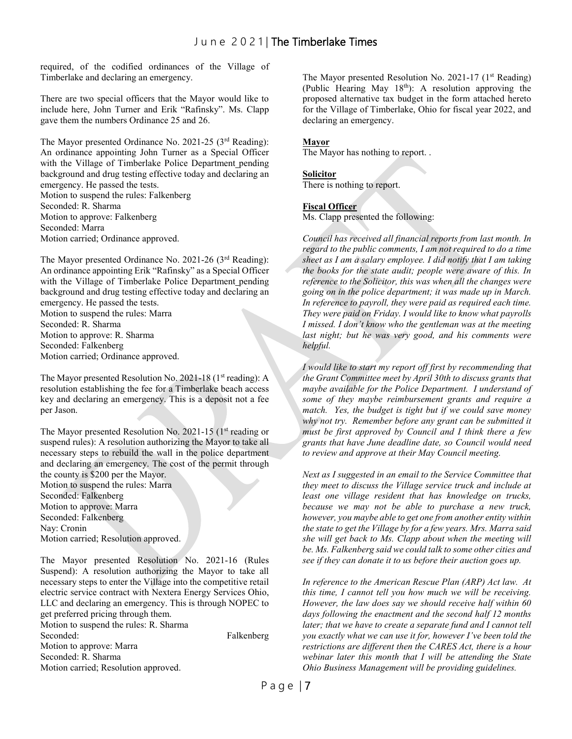required, of the codified ordinances of the Village of Timberlake and declaring an emergency.

There are two special officers that the Mayor would like to include here, John Turner and Erik "Rafinsky". Ms. Clapp gave them the numbers Ordinance 25 and 26.

The Mayor presented Ordinance No. 2021-25 (3rd Reading): An ordinance appointing John Turner as a Special Officer with the Village of Timberlake Police Department pending background and drug testing effective today and declaring an emergency. He passed the tests. Motion to suspend the rules: Falkenberg Seconded: R. Sharma Motion to approve: Falkenberg Seconded: Marra Motion carried; Ordinance approved.

The Mayor presented Ordinance No. 2021-26 (3rd Reading): An ordinance appointing Erik "Rafinsky" as a Special Officer with the Village of Timberlake Police Department pending background and drug testing effective today and declaring an emergency. He passed the tests. Motion to suspend the rules: Marra

Seconded: R. Sharma Motion to approve: R. Sharma Seconded: Falkenberg Motion carried; Ordinance approved.

The Mayor presented Resolution No. 2021-18 ( $1<sup>st</sup>$  reading): A resolution establishing the fee for a Timberlake beach access key and declaring an emergency. This is a deposit not a fee per Jason.

The Mayor presented Resolution No. 2021-15 (1<sup>st</sup> reading or suspend rules): A resolution authorizing the Mayor to take all necessary steps to rebuild the wall in the police department and declaring an emergency. The cost of the permit through the county is \$200 per the Mayor. Motion to suspend the rules: Marra Seconded: Falkenberg Motion to approve: Marra Seconded: Falkenberg Nay: Cronin Motion carried; Resolution approved.

The Mayor presented Resolution No. 2021-16 (Rules Suspend): A resolution authorizing the Mayor to take all necessary steps to enter the Village into the competitive retail electric service contract with Nextera Energy Services Ohio, LLC and declaring an emergency. This is through NOPEC to get preferred pricing through them. Motion to suspend the rules: R. Sharma Seconded: Falkenberg

Motion to approve: Marra Seconded: R. Sharma Motion carried; Resolution approved.

The Mayor presented Resolution No. 2021-17 (1<sup>st</sup> Reading) (Public Hearing May  $18<sup>th</sup>$ ): A resolution approving the proposed alternative tax budget in the form attached hereto for the Village of Timberlake, Ohio for fiscal year 2022, and declaring an emergency.

#### **Mayor**

The Mayor has nothing to report. .

#### **Solicitor**

There is nothing to report.

#### **Fiscal Officer**

Ms. Clapp presented the following:

*Council has received all financial reports from last month. In regard to the public comments, I am not required to do a time sheet as I am a salary employee. I did notify that I am taking the books for the state audit; people were aware of this. In reference to the Solicitor, this was when all the changes were going on in the police department; it was made up in March. In reference to payroll, they were paid as required each time. They were paid on Friday. I would like to know what payrolls I missed. I don't know who the gentleman was at the meeting*  last night; but he was very good, and his comments were *helpful.* 

*I would like to start my report off first by recommending that the Grant Committee meet by April 30th to discuss grants that maybe available for the Police Department. I understand of some of they maybe reimbursement grants and require a match. Yes, the budget is tight but if we could save money why not try. Remember before any grant can be submitted it must be first approved by Council and I think there a few grants that have June deadline date, so Council would need to review and approve at their May Council meeting.*

*Next as I suggested in an email to the Service Committee that they meet to discuss the Village service truck and include at least one village resident that has knowledge on trucks, because we may not be able to purchase a new truck, however, you maybe able to get one from another entity within the state to get the Village by for a few years. Mrs. Marra said she will get back to Ms. Clapp about when the meeting will be. Ms. Falkenberg said we could talk to some other cities and see if they can donate it to us before their auction goes up.* 

*In reference to the American Rescue Plan (ARP) Act law. At this time, I cannot tell you how much we will be receiving. However, the law does say we should receive half within 60 days following the enactment and the second half 12 months later; that we have to create a separate fund and I cannot tell you exactly what we can use it for, however I've been told the restrictions are different then the CARES Act, there is a hour webinar later this month that I will be attending the State Ohio Business Management will be providing guidelines.*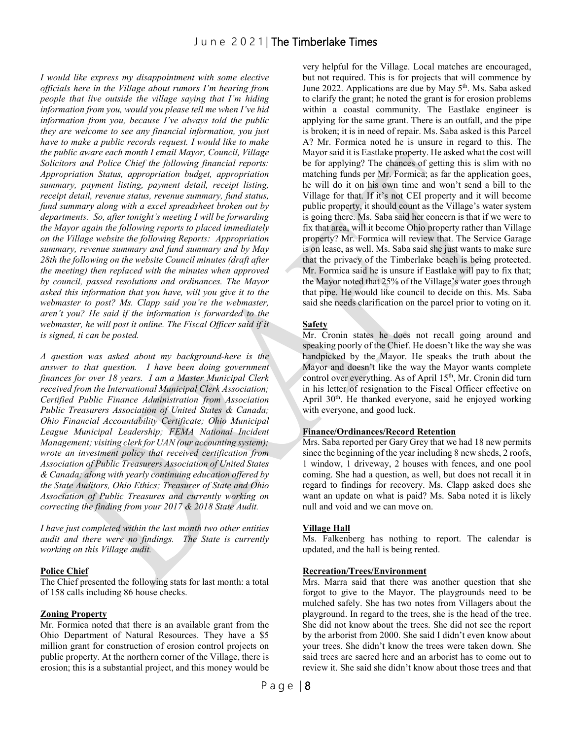*I would like express my disappointment with some elective officials here in the Village about rumors I'm hearing from people that live outside the village saying that I'm hiding information from you, would you please tell me when I've hid information from you, because I've always told the public they are welcome to see any financial information, you just have to make a public records request. I would like to make the public aware each month I email Mayor, Council, Village Solicitors and Police Chief the following financial reports: Appropriation Status, appropriation budget, appropriation summary, payment listing, payment detail, receipt listing, receipt detail, revenue status, revenue summary, fund status, fund summary along with a excel spreadsheet broken out by departments. So, after tonight's meeting I will be forwarding the Mayor again the following reports to placed immediately on the Village website the following Reports: Appropriation summary, revenue summary and fund summary and by May 28th the following on the website Council minutes (draft after the meeting) then replaced with the minutes when approved by council, passed resolutions and ordinances. The Mayor asked this information that you have, will you give it to the webmaster to post? Ms. Clapp said you're the webmaster, aren't you? He said if the information is forwarded to the webmaster, he will post it online. The Fiscal Officer said if it is signed, ti can be posted.* 

*A question was asked about my background-here is the answer to that question. I have been doing government finances for over 18 years. I am a Master Municipal Clerk received from the International Municipal Clerk Association; Certified Public Finance Administration from Association Public Treasurers Association of United States & Canada; Ohio Financial Accountability Certificate; Ohio Municipal League Municipal Leadership; FEMA National Incident Management; visiting clerk for UAN (our accounting system); wrote an investment policy that received certification from Association of Public Treasurers Association of United States & Canada; along with yearly continuing education offered by the State Auditors, Ohio Ethics; Treasurer of State and Ohio Association of Public Treasures and currently working on correcting the finding from your 2017 & 2018 State Audit.*

*I have just completed within the last month two other entities audit and there were no findings. The State is currently working on this Village audit.*

#### **Police Chief**

The Chief presented the following stats for last month: a total of 158 calls including 86 house checks.

#### **Zoning Property**

Mr. Formica noted that there is an available grant from the Ohio Department of Natural Resources. They have a \$5 million grant for construction of erosion control projects on public property. At the northern corner of the Village, there is erosion; this is a substantial project, and this money would be

very helpful for the Village. Local matches are encouraged, but not required. This is for projects that will commence by June 2022. Applications are due by May 5<sup>th</sup>. Ms. Saba asked to clarify the grant; he noted the grant is for erosion problems within a coastal community. The Eastlake engineer is applying for the same grant. There is an outfall, and the pipe is broken; it is in need of repair. Ms. Saba asked is this Parcel A? Mr. Formica noted he is unsure in regard to this. The Mayor said it is Eastlake property. He asked what the cost will be for applying? The chances of getting this is slim with no matching funds per Mr. Formica; as far the application goes, he will do it on his own time and won't send a bill to the Village for that. If it's not CEI property and it will become public property, it should count as the Village's water system is going there. Ms. Saba said her concern is that if we were to fix that area, will it become Ohio property rather than Village property? Mr. Formica will review that. The Service Garage is on lease, as well. Ms. Saba said she just wants to make sure that the privacy of the Timberlake beach is being protected. Mr. Formica said he is unsure if Eastlake will pay to fix that; the Mayor noted that 25% of the Village's water goes through that pipe. He would like council to decide on this. Ms. Saba said she needs clarification on the parcel prior to voting on it.

#### **Safety**

Mr. Cronin states he does not recall going around and speaking poorly of the Chief. He doesn't like the way she was handpicked by the Mayor. He speaks the truth about the Mayor and doesn't like the way the Mayor wants complete control over everything. As of April 15<sup>th</sup>, Mr. Cronin did turn in his letter of resignation to the Fiscal Officer effective on April 30<sup>th</sup>. He thanked everyone, said he enjoyed working with everyone, and good luck.

#### **Finance/Ordinances/Record Retention**

Mrs. Saba reported per Gary Grey that we had 18 new permits since the beginning of the year including 8 new sheds, 2 roofs, 1 window, 1 driveway, 2 houses with fences, and one pool coming. She had a question, as well, but does not recall it in regard to findings for recovery. Ms. Clapp asked does she want an update on what is paid? Ms. Saba noted it is likely null and void and we can move on.

#### **Village Hall**

Ms. Falkenberg has nothing to report. The calendar is updated, and the hall is being rented.

#### **Recreation/Trees/Environment**

Mrs. Marra said that there was another question that she forgot to give to the Mayor. The playgrounds need to be mulched safely. She has two notes from Villagers about the playground. In regard to the trees, she is the head of the tree. She did not know about the trees. She did not see the report by the arborist from 2000. She said I didn't even know about your trees. She didn't know the trees were taken down. She said trees are sacred here and an arborist has to come out to review it. She said she didn't know about those trees and that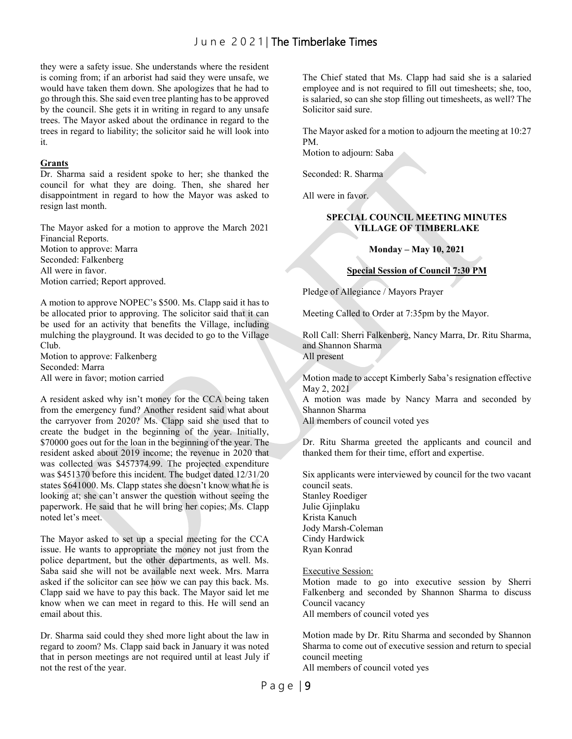they were a safety issue. She understands where the resident is coming from; if an arborist had said they were unsafe, we would have taken them down. She apologizes that he had to go through this. She said even tree planting has to be approved by the council. She gets it in writing in regard to any unsafe trees. The Mayor asked about the ordinance in regard to the trees in regard to liability; the solicitor said he will look into it.

#### **Grants**

Dr. Sharma said a resident spoke to her; she thanked the council for what they are doing. Then, she shared her disappointment in regard to how the Mayor was asked to resign last month.

The Mayor asked for a motion to approve the March 2021 Financial Reports. Motion to approve: Marra Seconded: Falkenberg All were in favor. Motion carried; Report approved.

A motion to approve NOPEC's \$500. Ms. Clapp said it has to be allocated prior to approving. The solicitor said that it can be used for an activity that benefits the Village, including mulching the playground. It was decided to go to the Village Club.

Motion to approve: Falkenberg Seconded: Marra All were in favor; motion carried

A resident asked why isn't money for the CCA being taken from the emergency fund? Another resident said what about the carryover from 2020? Ms. Clapp said she used that to create the budget in the beginning of the year. Initially, \$70000 goes out for the loan in the beginning of the year. The resident asked about 2019 income; the revenue in 2020 that was collected was \$457374.99. The projected expenditure was \$451370 before this incident. The budget dated 12/31/20 states \$641000. Ms. Clapp states she doesn't know what he is looking at; she can't answer the question without seeing the paperwork. He said that he will bring her copies; Ms. Clapp noted let's meet.

The Mayor asked to set up a special meeting for the CCA issue. He wants to appropriate the money not just from the police department, but the other departments, as well. Ms. Saba said she will not be available next week. Mrs. Marra asked if the solicitor can see how we can pay this back. Ms. Clapp said we have to pay this back. The Mayor said let me know when we can meet in regard to this. He will send an email about this.

Dr. Sharma said could they shed more light about the law in regard to zoom? Ms. Clapp said back in January it was noted that in person meetings are not required until at least July if not the rest of the year.

The Chief stated that Ms. Clapp had said she is a salaried employee and is not required to fill out timesheets; she, too, is salaried, so can she stop filling out timesheets, as well? The Solicitor said sure.

The Mayor asked for a motion to adjourn the meeting at 10:27 PM.

Motion to adjourn: Saba

Seconded: R. Sharma

All were in favor.

#### **SPECIAL COUNCIL MEETING MINUTES VILLAGE OF TIMBERLAKE**

#### **Monday – May 10, 2021**

#### **Special Session of Council 7:30 PM**

Pledge of Allegiance / Mayors Prayer

Meeting Called to Order at 7:35pm by the Mayor.

Roll Call: Sherri Falkenberg, Nancy Marra, Dr. Ritu Sharma, and Shannon Sharma All present

Motion made to accept Kimberly Saba's resignation effective May 2, 2021

A motion was made by Nancy Marra and seconded by Shannon Sharma

All members of council voted yes

Dr. Ritu Sharma greeted the applicants and council and thanked them for their time, effort and expertise.

Six applicants were interviewed by council for the two vacant council seats.

Stanley Roediger Julie Gjinplaku Krista Kanuch Jody Marsh-Coleman Cindy Hardwick Ryan Konrad

Executive Session:

Motion made to go into executive session by Sherri Falkenberg and seconded by Shannon Sharma to discuss Council vacancy All members of council voted yes

Motion made by Dr. Ritu Sharma and seconded by Shannon Sharma to come out of executive session and return to special council meeting All members of council voted yes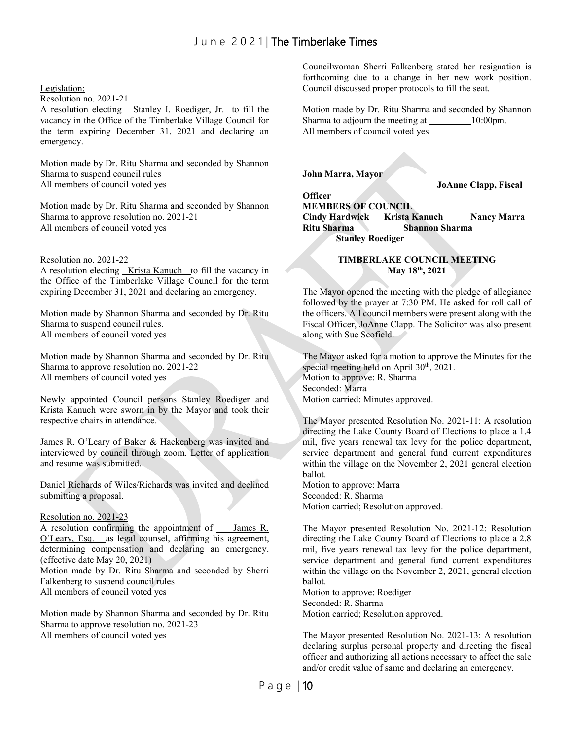#### Legislation:

#### Resolution no. 2021-21

A resolution electing **Stanley I. Roediger, Jr.** to fill the vacancy in the Office of the Timberlake Village Council for the term expiring December 31, 2021 and declaring an emergency.

Motion made by Dr. Ritu Sharma and seconded by Shannon Sharma to suspend council rules All members of council voted yes

Motion made by Dr. Ritu Sharma and seconded by Shannon Sharma to approve resolution no. 2021-21 All members of council voted yes

#### Resolution no. 2021-22

A resolution electing Krista Kanuch to fill the vacancy in the Office of the Timberlake Village Council for the term expiring December 31, 2021 and declaring an emergency.

Motion made by Shannon Sharma and seconded by Dr. Ritu Sharma to suspend council rules. All members of council voted yes

Motion made by Shannon Sharma and seconded by Dr. Ritu Sharma to approve resolution no. 2021-22 All members of council voted yes

Newly appointed Council persons Stanley Roediger and Krista Kanuch were sworn in by the Mayor and took their respective chairs in attendance.

James R. O'Leary of Baker & Hackenberg was invited and interviewed by council through zoom. Letter of application and resume was submitted.

Daniel Richards of Wiles/Richards was invited and declined submitting a proposal.

#### Resolution no. 2021-23

A resolution confirming the appointment of \_\_\_ James R. O'Leary, Esq. as legal counsel, affirming his agreement, determining compensation and declaring an emergency. (effective date May 20, 2021)

Motion made by Dr. Ritu Sharma and seconded by Sherri Falkenberg to suspend council rules All members of council voted yes

Motion made by Shannon Sharma and seconded by Dr. Ritu

Sharma to approve resolution no. 2021-23 All members of council voted yes

Councilwoman Sherri Falkenberg stated her resignation is forthcoming due to a change in her new work position. Council discussed proper protocols to fill the seat.

Motion made by Dr. Ritu Sharma and seconded by Shannon Sharma to adjourn the meeting at 10:00pm. All members of council voted yes

**John Marra, Mayor**

**Officer**

**JoAnne Clapp, Fiscal** 

**MEMBERS OF COUNCIL**

**Cindy Hardwick Krista Kanuch Nancy Marra Ritu Sharma Shannon Sharma Stanley Roediger**

#### **TIMBERLAKE COUNCIL MEETING May 18th, 2021**

The Mayor opened the meeting with the pledge of allegiance followed by the prayer at 7:30 PM. He asked for roll call of the officers. All council members were present along with the Fiscal Officer, JoAnne Clapp. The Solicitor was also present along with Sue Scofield.

The Mayor asked for a motion to approve the Minutes for the special meeting held on April  $30<sup>th</sup>$ ,  $2021$ . Motion to approve: R. Sharma Seconded: Marra Motion carried; Minutes approved.

The Mayor presented Resolution No. 2021-11: A resolution directing the Lake County Board of Elections to place a 1.4 mil, five years renewal tax levy for the police department, service department and general fund current expenditures within the village on the November 2, 2021 general election ballot.

Motion to approve: Marra Seconded: R. Sharma Motion carried; Resolution approved.

The Mayor presented Resolution No. 2021-12: Resolution directing the Lake County Board of Elections to place a 2.8 mil, five years renewal tax levy for the police department, service department and general fund current expenditures within the village on the November 2, 2021, general election ballot.

Motion to approve: Roediger Seconded: R. Sharma Motion carried; Resolution approved.

The Mayor presented Resolution No. 2021-13: A resolution declaring surplus personal property and directing the fiscal officer and authorizing all actions necessary to affect the sale and/or credit value of same and declaring an emergency.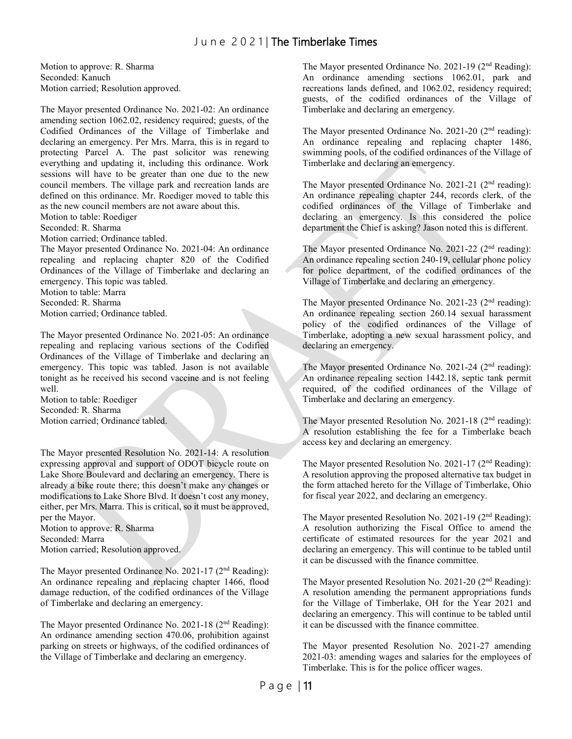Motion to approve: R. Sharma Seconded: Kanuch Motion carried; Resolution approved.

The Mayor presented Ordinance No. 2021-02: An ordinance amending section 1062.02, residency required; guests, of the Codified Ordinances of the Village of Timberlake and declaring an emergency. Per Mrs. Marra, this is in regard to protecting Parcel A. The past solicitor was renewing everything and updating it, including this ordinance. Work sessions will have to be greater than one due to the new council members. The village park and recreation lands are defined on this ordinance. Mr. Roediger moved to table this as the new council members are not aware about this.

Motion to table: Roediger

Seconded: R. Sharma

Motion carried; Ordinance tabled.

The Mayor presented Ordinance No. 2021-04: An ordinance repealing and replacing chapter 820 of the Codified Ordinances of the Village of Timberlake and declaring an emergency. This topic was tabled.

Motion to table: Marra

Seconded: R. Sharma

Motion carried; Ordinance tabled.

The Mayor presented Ordinance No. 2021-05: An ordinance repealing and replacing various sections of the Codified Ordinances of the Village of Timberlake and declaring an emergency. This topic was tabled. Jason is not available tonight as he received his second vaccine and is not feeling well.

Motion to table: Roediger Seconded: R. Sharma Motion carried; Ordinance tabled.

The Mayor presented Resolution No. 2021-14: A resolution expressing approval and support of ODOT bicycle route on Lake Shore Boulevard and declaring an emergency. There is already a bike route there; this doesn't make any changes or modifications to Lake Shore Blvd. It doesn't cost any money, either, per Mrs. Marra. This is critical, so it must be approved, per the Mayor.

Motion to approve: R. Sharma

Seconded: Marra

Motion carried; Resolution approved.

The Mayor presented Ordinance No. 2021-17 (2<sup>nd</sup> Reading): An ordinance repealing and replacing chapter 1466, flood damage reduction, of the codified ordinances of the Village of Timberlake and declaring an emergency.

The Mayor presented Ordinance No. 2021-18 (2<sup>nd</sup> Reading): An ordinance amending section 470.06, prohibition against parking on streets or highways, of the codified ordinances of the Village of Timberlake and declaring an emergency.

The Mayor presented Ordinance No. 2021-19 (2<sup>nd</sup> Reading): An ordinance amending sections 1062.01, park and recreations lands defined, and 1062.02, residency required; guests, of the codified ordinances of the Village of Timberlake and declaring an emergency.

The Mayor presented Ordinance No. 2021-20 (2<sup>nd</sup> reading): An ordinance repealing and replacing chapter 1486, swimming pools, of the codified ordinances of the Village of Timberlake and declaring an emergency.

The Mayor presented Ordinance No. 2021-21 (2<sup>nd</sup> reading): An ordinance repealing chapter 244, records clerk, of the codified ordinances of the Village of Timberlake and declaring an emergency. Is this considered the police department the Chief is asking? Jason noted this is different.

The Mayor presented Ordinance No. 2021-22  $(2<sup>nd</sup>$  reading): An ordinance repealing section 240-19, cellular phone policy for police department, of the codified ordinances of the Village of Timberlake and declaring an emergency.

The Mayor presented Ordinance No. 2021-23 (2<sup>nd</sup> reading): An ordinance repealing section 260.14 sexual harassment policy of the codified ordinances of the Village of Timberlake, adopting a new sexual harassment policy, and declaring an emergency.

The Mayor presented Ordinance No. 2021-24 (2<sup>nd</sup> reading): An ordinance repealing section 1442.18, septic tank permit required, of the codified ordinances of the Village of Timberlake and declaring an emergency.

The Mayor presented Resolution No. 2021-18 (2<sup>nd</sup> reading): A resolution establishing the fee for a Timberlake beach access key and declaring an emergency.

The Mayor presented Resolution No. 2021-17 (2nd Reading): A resolution approving the proposed alternative tax budget in the form attached hereto for the Village of Timberlake, Ohio for fiscal year 2022, and declaring an emergency.

The Mayor presented Resolution No. 2021-19 (2nd Reading): A resolution authorizing the Fiscal Office to amend the certificate of estimated resources for the year 2021 and declaring an emergency. This will continue to be tabled until it can be discussed with the finance committee.

The Mayor presented Resolution No. 2021-20 (2nd Reading): A resolution amending the permanent appropriations funds for the Village of Timberlake, OH for the Year 2021 and declaring an emergency. This will continue to be tabled until it can be discussed with the finance committee.

The Mayor presented Resolution No. 2021-27 amending 2021-03: amending wages and salaries for the employees of Timberlake. This is for the police officer wages.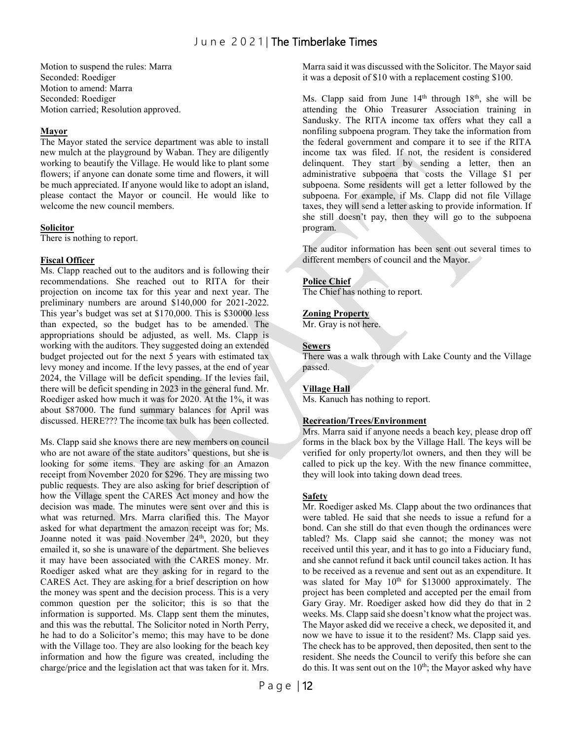Motion to suspend the rules: Marra Seconded: Roediger Motion to amend: Marra Seconded: Roediger Motion carried; Resolution approved.

#### **Mayor**

The Mayor stated the service department was able to install new mulch at the playground by Waban. They are diligently working to beautify the Village. He would like to plant some flowers; if anyone can donate some time and flowers, it will be much appreciated. If anyone would like to adopt an island, please contact the Mayor or council. He would like to welcome the new council members.

#### **Solicitor**

There is nothing to report.

#### **Fiscal Officer**

Ms. Clapp reached out to the auditors and is following their recommendations. She reached out to RITA for their projection on income tax for this year and next year. The preliminary numbers are around \$140,000 for 2021-2022. This year's budget was set at \$170,000. This is \$30000 less than expected, so the budget has to be amended. The appropriations should be adjusted, as well. Ms. Clapp is working with the auditors. They suggested doing an extended budget projected out for the next 5 years with estimated tax levy money and income. If the levy passes, at the end of year 2024, the Village will be deficit spending. If the levies fail, there will be deficit spending in 2023 in the general fund. Mr. Roediger asked how much it was for 2020. At the 1%, it was about \$87000. The fund summary balances for April was discussed. HERE??? The income tax bulk has been collected.

Ms. Clapp said she knows there are new members on council who are not aware of the state auditors' questions, but she is looking for some items. They are asking for an Amazon receipt from November 2020 for \$296. They are missing two public requests. They are also asking for brief description of how the Village spent the CARES Act money and how the decision was made. The minutes were sent over and this is what was returned. Mrs. Marra clarified this. The Mayor asked for what department the amazon receipt was for; Ms. Joanne noted it was paid November 24<sup>th</sup>, 2020, but they emailed it, so she is unaware of the department. She believes it may have been associated with the CARES money. Mr. Roediger asked what are they asking for in regard to the CARES Act. They are asking for a brief description on how the money was spent and the decision process. This is a very common question per the solicitor; this is so that the information is supported. Ms. Clapp sent them the minutes, and this was the rebuttal. The Solicitor noted in North Perry, he had to do a Solicitor's memo; this may have to be done with the Village too. They are also looking for the beach key information and how the figure was created, including the charge/price and the legislation act that was taken for it. Mrs.

Marra said it was discussed with the Solicitor. The Mayor said it was a deposit of \$10 with a replacement costing \$100.

Ms. Clapp said from June 14<sup>th</sup> through 18<sup>th</sup>, she will be attending the Ohio Treasurer Association training in Sandusky. The RITA income tax offers what they call a nonfiling subpoena program. They take the information from the federal government and compare it to see if the RITA income tax was filed. If not, the resident is considered delinquent. They start by sending a letter, then an administrative subpoena that costs the Village \$1 per subpoena. Some residents will get a letter followed by the subpoena. For example, if Ms. Clapp did not file Village taxes, they will send a letter asking to provide information. If she still doesn't pay, then they will go to the subpoena program.

The auditor information has been sent out several times to different members of council and the Mayor.

#### **Police Chief**

The Chief has nothing to report.

#### **Zoning Property**

Mr. Gray is not here.

#### **Sewers**

There was a walk through with Lake County and the Village passed.

#### **Village Hall**

Ms. Kanuch has nothing to report.

#### **Recreation/Trees/Environment**

Mrs. Marra said if anyone needs a beach key, please drop off forms in the black box by the Village Hall. The keys will be verified for only property/lot owners, and then they will be called to pick up the key. With the new finance committee, they will look into taking down dead trees.

#### **Safety**

Mr. Roediger asked Ms. Clapp about the two ordinances that were tabled. He said that she needs to issue a refund for a bond. Can she still do that even though the ordinances were tabled? Ms. Clapp said she cannot; the money was not received until this year, and it has to go into a Fiduciary fund, and she cannot refund it back until council takes action. It has to be received as a revenue and sent out as an expenditure. It was slated for May 10<sup>th</sup> for \$13000 approximately. The project has been completed and accepted per the email from Gary Gray. Mr. Roediger asked how did they do that in 2 weeks. Ms. Clapp said she doesn't know what the project was. The Mayor asked did we receive a check, we deposited it, and now we have to issue it to the resident? Ms. Clapp said yes. The check has to be approved, then deposited, then sent to the resident. She needs the Council to verify this before she can do this. It was sent out on the  $10<sup>th</sup>$ ; the Mayor asked why have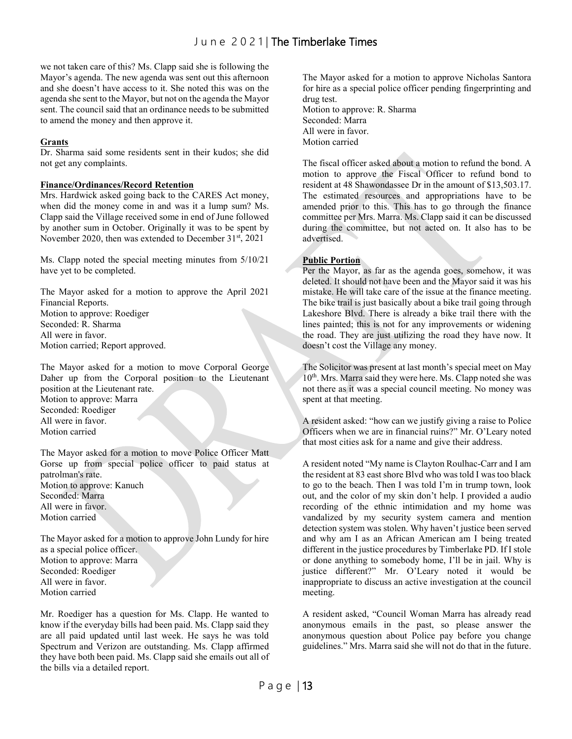we not taken care of this? Ms. Clapp said she is following the Mayor's agenda. The new agenda was sent out this afternoon and she doesn't have access to it. She noted this was on the agenda she sent to the Mayor, but not on the agenda the Mayor sent. The council said that an ordinance needs to be submitted to amend the money and then approve it.

#### **Grants**

Dr. Sharma said some residents sent in their kudos; she did not get any complaints.

#### **Finance/Ordinances/Record Retention**

Mrs. Hardwick asked going back to the CARES Act money, when did the money come in and was it a lump sum? Ms. Clapp said the Village received some in end of June followed by another sum in October. Originally it was to be spent by November 2020, then was extended to December 31<sup>st</sup>, 2021

Ms. Clapp noted the special meeting minutes from 5/10/21 have yet to be completed.

The Mayor asked for a motion to approve the April 2021 Financial Reports. Motion to approve: Roediger Seconded: R. Sharma All were in favor. Motion carried; Report approved.

The Mayor asked for a motion to move Corporal George Daher up from the Corporal position to the Lieutenant position at the Lieutenant rate. Motion to approve: Marra Seconded: Roediger All were in favor. Motion carried

The Mayor asked for a motion to move Police Officer Matt Gorse up from special police officer to paid status at patrolman's rate. Motion to approve: Kanuch Seconded: Marra All were in favor. Motion carried

The Mayor asked for a motion to approve John Lundy for hire as a special police officer. Motion to approve: Marra Seconded: Roediger All were in favor. Motion carried

Mr. Roediger has a question for Ms. Clapp. He wanted to know if the everyday bills had been paid. Ms. Clapp said they are all paid updated until last week. He says he was told Spectrum and Verizon are outstanding. Ms. Clapp affirmed they have both been paid. Ms. Clapp said she emails out all of the bills via a detailed report.

The Mayor asked for a motion to approve Nicholas Santora for hire as a special police officer pending fingerprinting and drug test.

Motion to approve: R. Sharma Seconded: Marra All were in favor. Motion carried

The fiscal officer asked about a motion to refund the bond. A motion to approve the Fiscal Officer to refund bond to resident at 48 Shawondassee Dr in the amount of \$13,503.17. The estimated resources and appropriations have to be amended prior to this. This has to go through the finance committee per Mrs. Marra. Ms. Clapp said it can be discussed during the committee, but not acted on. It also has to be advertised.

#### **Public Portion**

Per the Mayor, as far as the agenda goes, somehow, it was deleted. It should not have been and the Mayor said it was his mistake. He will take care of the issue at the finance meeting. The bike trail is just basically about a bike trail going through Lakeshore Blvd. There is already a bike trail there with the lines painted; this is not for any improvements or widening the road. They are just utilizing the road they have now. It doesn't cost the Village any money.

The Solicitor was present at last month's special meet on May 10<sup>th</sup>. Mrs. Marra said they were here. Ms. Clapp noted she was not there as it was a special council meeting. No money was spent at that meeting.

A resident asked: "how can we justify giving a raise to Police Officers when we are in financial ruins?" Mr. O'Leary noted that most cities ask for a name and give their address.

A resident noted "My name is Clayton Roulhac-Carr and I am the resident at 83 east shore Blvd who was told I was too black to go to the beach. Then I was told I'm in trump town, look out, and the color of my skin don't help. I provided a audio recording of the ethnic intimidation and my home was vandalized by my security system camera and mention detection system was stolen. Why haven't justice been served and why am I as an African American am I being treated different in the justice procedures by Timberlake PD. If I stole or done anything to somebody home, I'll be in jail. Why is justice different?" Mr. O'Leary noted it would be inappropriate to discuss an active investigation at the council meeting.

A resident asked, "Council Woman Marra has already read anonymous emails in the past, so please answer the anonymous question about Police pay before you change guidelines." Mrs. Marra said she will not do that in the future.